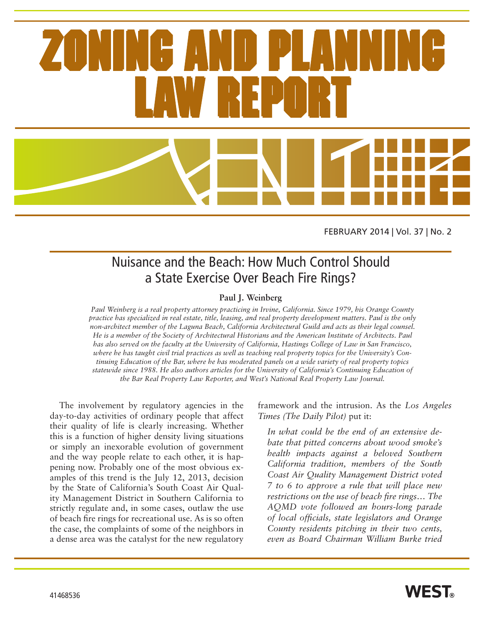

FEBRUARY 2014 | Vol. 37 | No. 2

## Nuisance and the Beach: How Much Control Should a State Exercise Over Beach Fire Rings?

### **Paul J. Weinberg**

*Paul Weinberg is a real property attorney practicing in Irvine, California. Since 1979, his Orange County practice has specialized in real estate, title, leasing, and real property development matters. Paul is the only non-architect member of the Laguna Beach, California Architectural Guild and acts as their legal counsel. He is a member of the Society of Architectural Historians and the American Institute of Architects. Paul has also served on the faculty at the University of California, Hastings College of Law in San Francisco, where he has taught civil trial practices as well as teaching real property topics for the University's Continuing Education of the Bar, where he has moderated panels on a wide variety of real property topics statewide since 1988. He also authors articles for the University of California's Continuing Education of the Bar Real Property Law Reporter, and West's National Real Property Law Journal.*

The involvement by regulatory agencies in the day-to-day activities of ordinary people that affect their quality of life is clearly increasing. Whether this is a function of higher density living situations or simply an inexorable evolution of government and the way people relate to each other, it is happening now. Probably one of the most obvious examples of this trend is the July 12, 2013, decision by the State of California's South Coast Air Quality Management District in Southern California to strictly regulate and, in some cases, outlaw the use of beach fire rings for recreational use. As is so often the case, the complaints of some of the neighbors in a dense area was the catalyst for the new regulatory framework and the intrusion. As the *Los Angeles Times (The Daily Pilot)* put it:

*In what could be the end of an extensive debate that pitted concerns about wood smoke's health impacts against a beloved Southern California tradition, members of the South Coast Air Quality Management District voted 7 to 6 to approve a rule that will place new restrictions on the use of beach fire rings… The AQMD vote followed an hours-long parade of local officials, state legislators and Orange County residents pitching in their two cents, even as Board Chairman William Burke tried*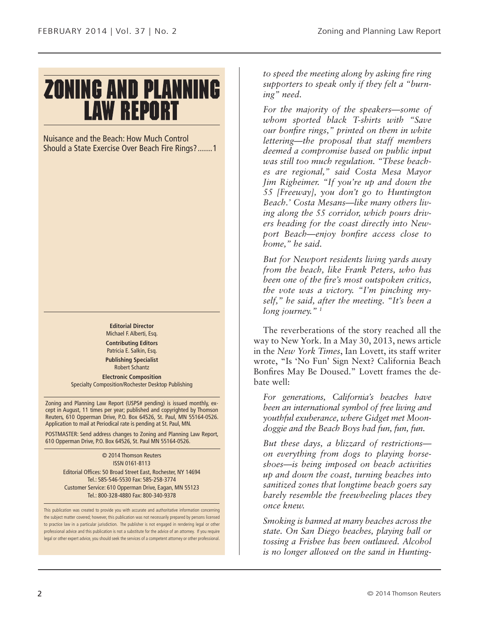# **ZONING AND PLANNING LAW REPORT**

Nuisance and the Beach: How Much Control Should a State Exercise Over Beach Fire Rings?.......1

> **Editorial Director** Michael F. Alberti, Esq. **Contributing Editors** Patricia E. Salkin, Esq. **Publishing Specialist**

Robert Schantz **Electronic Composition** Specialty Composition/Rochester Desktop Publishing

Zoning and Planning Law Report (USPS# pending) is issued monthly, except in August, 11 times per year; published and copyrighted by Thomson Reuters, 610 Opperman Drive, P.O. Box 64526, St. Paul, MN 55164-0526. Application to mail at Periodical rate is pending at St. Paul, MN.

POSTMASTER: Send address changes to Zoning and Planning Law Report, 610 Opperman Drive, P.O. Box 64526, St. Paul MN 55164-0526.

> © 2014 Thomson Reuters ISSN 0161-8113 Editorial Offices: 50 Broad Street East, Rochester, NY 14694 Tel.: 585-546-5530 Fax: 585-258-3774 Customer Service: 610 Opperman Drive, Eagan, MN 55123 Tel.: 800-328-4880 Fax: 800-340-9378

This publication was created to provide you with accurate and authoritative information concerning the subject matter covered; however, this publication was not necessarily prepared by persons licensed to practice law in a particular jurisdiction. The publisher is not engaged in rendering legal or other professional advice and this publication is not a substitute for the advice of an attorney. If you require legal or other expert advice, you should seek the services of a competent attorney or other professional.

*to speed the meeting along by asking fire ring supporters to speak only if they felt a "burning" need.*

*For the majority of the speakers—some of whom sported black T-shirts with "Save our bonfire rings," printed on them in white lettering—the proposal that staff members deemed a compromise based on public input was still too much regulation. "These beaches are regional," said Costa Mesa Mayor Jim Righeimer. "If you're up and down the 55 [Freeway], you don't go to Huntington Beach.' Costa Mesans—like many others living along the 55 corridor, which pours drivers heading for the coast directly into Newport Beach—enjoy bonfire access close to home," he said.*

*But for Newport residents living yards away from the beach, like Frank Peters, who has been one of the fire's most outspoken critics, the vote was a victory. "I'm pinching myself," he said, after the meeting. "It's been a long journey." 1*

The reverberations of the story reached all the way to New York. In a May 30, 2013, news article in the *New York Times*, Ian Lovett, its staff writer wrote, "Is 'No Fun' Sign Next? California Beach Bonfires May Be Doused." Lovett frames the debate well:

*For generations, California's beaches have been an international symbol of free living and youthful exuberance, where Gidget met Moondoggie and the Beach Boys had fun, fun, fun.*

*But these days, a blizzard of restrictions on everything from dogs to playing horseshoes—is being imposed on beach activities up and down the coast, turning beaches into sanitized zones that longtime beach goers say barely resemble the freewheeling places they once knew.*

*Smoking is banned at many beaches across the state. On San Diego beaches, playing ball or tossing a Frisbee has been outlawed. Alcohol is no longer allowed on the sand in Hunting-*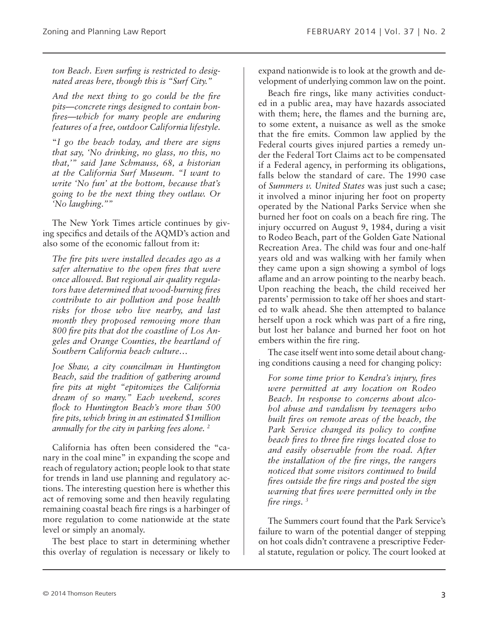*ton Beach. Even surfing is restricted to designated areas here, though this is "Surf City."*

*And the next thing to go could be the fire pits—concrete rings designed to contain bonfires—which for many people are enduring features of a free, outdoor California lifestyle.*

"*I go the beach today, and there are signs that say, 'No drinking, no glass, no this, no that,'" said Jane Schmauss, 68, a historian at the California Surf Museum. "I want to write 'No fun' at the bottom, because that's going to be the next thing they outlaw. Or 'No laughing.''"*

The New York Times article continues by giving specifics and details of the AQMD's action and also some of the economic fallout from it:

*The fire pits were installed decades ago as a safer alternative to the open fires that were once allowed. But regional air quality regulators have determined that wood-burning fires contribute to air pollution and pose health risks for those who live nearby, and last month they proposed removing more than 800 fire pits that dot the coastline of Los Angeles and Orange Counties, the heartland of Southern California beach culture…*

*Joe Shaw, a city councilman in Huntington Beach, said the tradition of gathering around fire pits at night "epitomizes the California dream of so many." Each weekend, scores flock to Huntington Beach's more than 500 fire pits, which bring in an estimated \$1million annually for the city in parking fees alone. 2*

California has often been considered the "canary in the coal mine" in expanding the scope and reach of regulatory action; people look to that state for trends in land use planning and regulatory actions. The interesting question here is whether this act of removing some and then heavily regulating remaining coastal beach fire rings is a harbinger of more regulation to come nationwide at the state level or simply an anomaly.

The best place to start in determining whether this overlay of regulation is necessary or likely to

expand nationwide is to look at the growth and development of underlying common law on the point.

Beach fire rings, like many activities conducted in a public area, may have hazards associated with them; here, the flames and the burning are, to some extent, a nuisance as well as the smoke that the fire emits. Common law applied by the Federal courts gives injured parties a remedy under the Federal Tort Claims act to be compensated if a Federal agency, in performing its obligations, falls below the standard of care. The 1990 case of *Summers v. United States* was just such a case; it involved a minor injuring her foot on property operated by the National Parks Service when she burned her foot on coals on a beach fire ring. The injury occurred on August 9, 1984, during a visit to Rodeo Beach, part of the Golden Gate National Recreation Area. The child was four and one-half years old and was walking with her family when they came upon a sign showing a symbol of logs aflame and an arrow pointing to the nearby beach. Upon reaching the beach, the child received her parents' permission to take off her shoes and started to walk ahead. She then attempted to balance herself upon a rock which was part of a fire ring, but lost her balance and burned her foot on hot embers within the fire ring.

The case itself went into some detail about changing conditions causing a need for changing policy:

*For some time prior to Kendra's injury, fires were permitted at any location on Rodeo Beach. In response to concerns about alcohol abuse and vandalism by teenagers who built fires on remote areas of the beach, the Park Service changed its policy to confine beach fires to three fire rings located close to and easily observable from the road. After the installation of the fire rings, the rangers noticed that some visitors continued to build fires outside the fire rings and posted the sign warning that fires were permitted only in the fire rings. 3*

The Summers court found that the Park Service's failure to warn of the potential danger of stepping on hot coals didn't contravene a prescriptive Federal statute, regulation or policy. The court looked at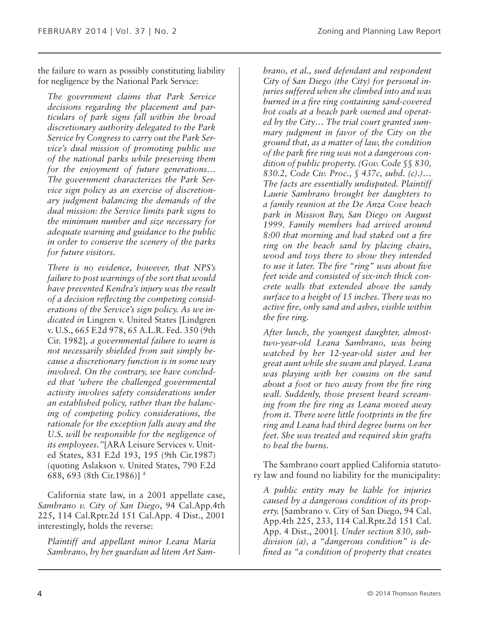the failure to warn as possibly constituting liability for negligence by the National Park Service:

*The government claims that Park Service decisions regarding the placement and particulars of park signs fall within the broad discretionary authority delegated to the Park Service by Congress to carry out the Park Service's dual mission of promoting public use of the national parks while preserving them for the enjoyment of future generations… The government characterizes the Park Service sign policy as an exercise of discretionary judgment balancing the demands of the dual mission: the Service limits park signs to the minimum number and size necessary for adequate warning and guidance to the public in order to conserve the scenery of the parks for future visitors.*

*There is no evidence, however, that NPS's failure to post warnings of the sort that would have prevented Kendra's injury was the result of a decision reflecting the competing considerations of the Service's sign policy. As we indicated in* Lingren v. United States [Lindgren v. U.S., 665 F.2d 978, 65 A.L.R. Fed. 350 (9th Cir. 1982]*, a governmental failure to warn is not necessarily shielded from suit simply because a discretionary function is in some way involved. On the contrary, we have concluded that 'where the challenged governmental activity involves safety considerations under an established policy, rather than the balancing of competing policy considerations, the rationale for the exception falls away and the U.S. will be responsible for the negligence of its employees."*[ARA Leisure Services v. United States, 831 F.2d 193, 195 (9th Cir.1987) (quoting Aslakson v. United States, 790 F.2d 688, 693 (8th Cir.1986)] *<sup>4</sup>*

California state law, in a 2001 appellate case, *Sambrano v. City of San Diego*, 94 Cal.App.4th 225, 114 Cal.Rptr.2d 151 Cal.App. 4 Dist., 2001 interestingly, holds the reverse:

*Plaintiff and appellant minor Leana Maria Sambrano, by her guardian ad litem Art Sam-* *brano, et al., sued defendant and respondent City of San Diego (the City) for personal injuries suffered when she climbed into and was burned in a fire ring containing sand-covered hot coals at a beach park owned and operated by the City… The trial court granted summary judgment in favor of the City on the ground that, as a matter of law, the condition of the park fire ring was not a dangerous condition of public property. (Gov. Code §§ 830, 830.2, Code Civ. Proc., § 437c, subd. (c).)… The facts are essentially undisputed. Plaintiff Laurie Sambrano brought her daughters to a family reunion at the De Anza Cove beach park in Mission Bay, San Diego on August 1999. Family members had arrived around 8:00 that morning and had staked out a fire ring on the beach sand by placing chairs, wood and toys there to show they intended to use it later. The fire "ring" was about five feet wide and consisted of six-inch thick concrete walls that extended above the sandy surface to a height of 15 inches. There was no active fire, only sand and ashes, visible within the fire ring.*

*After lunch, the youngest daughter, almosttwo-year-old Leana Sambrano, was being watched by her 12-year-old sister and her great aunt while she swam and played. Leana was playing with her cousins on the sand about a foot or two away from the fire ring wall. Suddenly, those present heard screaming from the fire ring as Leana moved away from it. There were little footprints in the fire ring and Leana had third degree burns on her feet. She was treated and required skin grafts to heal the burns.*

The Sambrano court applied California statutory law and found no liability for the municipality:

*A public entity may be liable for injuries caused by a dangerous condition of its property.* [Sambrano v. City of San Diego, 94 Cal. App.4th 225, 233, 114 Cal.Rptr.2d 151 Cal. App. 4 Dist., 2001]. *Under section 830, subdivision (a), a "dangerous condition" is defined as "a condition of property that creates*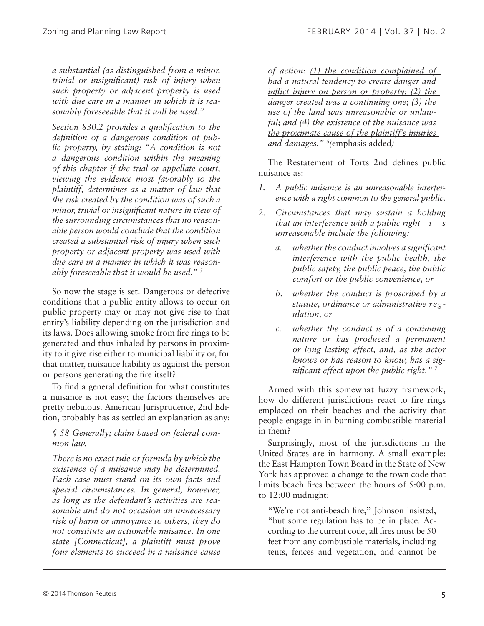*a substantial (as distinguished from a minor, trivial or insignificant) risk of injury when such property or adjacent property is used with due care in a manner in which it is reasonably foreseeable that it will be used."*

*Section 830.2 provides a qualification to the definition of a dangerous condition of public property, by stating: "A condition is not a dangerous condition within the meaning of this chapter if the trial or appellate court, viewing the evidence most favorably to the plaintiff, determines as a matter of law that the risk created by the condition was of such a minor, trivial or insignificant nature in view of the surrounding circumstances that no reasonable person would conclude that the condition created a substantial risk of injury when such property or adjacent property was used with due care in a manner in which it was reasonably foreseeable that it would be used." 5*

So now the stage is set. Dangerous or defective conditions that a public entity allows to occur on public property may or may not give rise to that entity's liability depending on the jurisdiction and its laws. Does allowing smoke from fire rings to be generated and thus inhaled by persons in proximity to it give rise either to municipal liability or, for that matter, nuisance liability as against the person or persons generating the fire itself?

To find a general definition for what constitutes a nuisance is not easy; the factors themselves are pretty nebulous. American Jurisprudence, 2nd Edition, probably has as settled an explanation as any:

#### *§ 58 Generally; claim based on federal common law.*

*There is no exact rule or formula by which the existence of a nuisance may be determined. Each case must stand on its own facts and special circumstances. In general, however, as long as the defendant's activities are reasonable and do not occasion an unnecessary risk of harm or annoyance to others, they do not constitute an actionable nuisance. In one state [Connecticut], a plaintiff must prove four elements to succeed in a nuisance cause* 

*of action: (1) the condition complained of had a natural tendency to create danger and inflict injury on person or property; (2) the danger created was a continuing one; (3) the use of the land was unreasonable or unlawful; and (4) the existence of the nuisance was the proximate cause of the plaintiff's injuries and damages." 6 (*emphasis added*)*

The Restatement of Torts 2nd defines public nuisance as:

- *1. A public nuisance is an unreasonable interference with a right common to the general public.*
- *2. Circumstances that may sustain a holding that an interference with a public right i s unreasonable include the following:*
	- *a. whether the conduct involves a significant interference with the public health, the public safety, the public peace, the public comfort or the public convenience, or*
	- *b. whether the conduct is proscribed by a statute, ordinance or administrative regulation, or*
	- *c. whether the conduct is of a continuing nature or has produced a permanent or long lasting effect, and, as the actor knows or has reason to know, has a significant effect upon the public right." 7*

Armed with this somewhat fuzzy framework, how do different jurisdictions react to fire rings emplaced on their beaches and the activity that people engage in in burning combustible material in them?

Surprisingly, most of the jurisdictions in the United States are in harmony. A small example: the East Hampton Town Board in the State of New York has approved a change to the town code that limits beach fires between the hours of 5:00 p.m. to 12:00 midnight:

"We're not anti-beach fire," Johnson insisted, "but some regulation has to be in place. According to the current code, all fires must be 50 feet from any combustible materials, including tents, fences and vegetation, and cannot be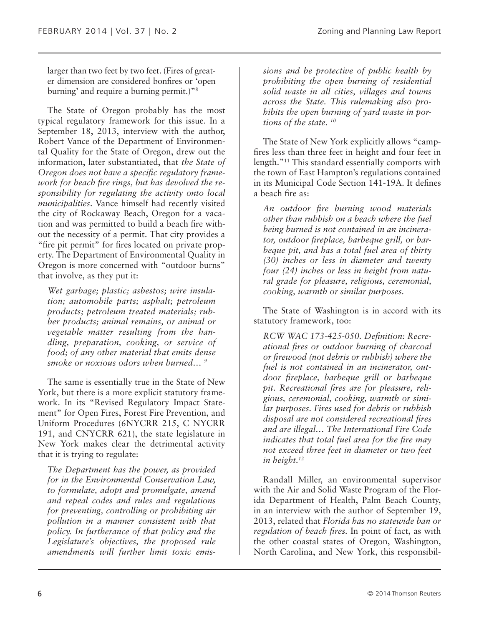larger than two feet by two feet. (Fires of greater dimension are considered bonfires or 'open burning' and require a burning permit.)"8

The State of Oregon probably has the most typical regulatory framework for this issue. In a September 18, 2013, interview with the author, Robert Vance of the Department of Environmental Quality for the State of Oregon, drew out the information, later substantiated, that *the State of Oregon does not have a specific regulatory framework for beach fire rings, but has devolved the responsibility for regulating the activity onto local municipalities*. Vance himself had recently visited the city of Rockaway Beach, Oregon for a vacation and was permitted to build a beach fire without the necessity of a permit. That city provides a "fire pit permit" for fires located on private property. The Department of Environmental Quality in Oregon is more concerned with "outdoor burns" that involve, as they put it:

*Wet garbage; plastic; asbestos; wire insulation; automobile parts; asphalt; petroleum products; petroleum treated materials; rubber products; animal remains, or animal or vegetable matter resulting from the handling, preparation, cooking, or service of food; of any other material that emits dense smoke or noxious odors when burned… 9*

The same is essentially true in the State of New York, but there is a more explicit statutory framework. In its "Revised Regulatory Impact Statement" for Open Fires, Forest Fire Prevention, and Uniform Procedures (6NYCRR 215, C NYCRR 191, and CNYCRR 621), the state legislature in New York makes clear the detrimental activity that it is trying to regulate:

*The Department has the power, as provided for in the Environmental Conservation Law, to formulate, adopt and promulgate, amend and repeal codes and rules and regulations for preventing, controlling or prohibiting air pollution in a manner consistent with that policy. In furtherance of that policy and the Legislature's objectives, the proposed rule amendments will further limit toxic emis-* *sions and be protective of public health by prohibiting the open burning of residential solid waste in all cities, villages and towns across the State. This rulemaking also prohibits the open burning of yard waste in portions of the state. 10*

The State of New York explicitly allows "campfires less than three feet in height and four feet in length."11 This standard essentially comports with the town of East Hampton's regulations contained in its Municipal Code Section 141-19A. It defines a beach fire as:

*An outdoor fire burning wood materials other than rubbish on a beach where the fuel being burned is not contained in an incinerator, outdoor fireplace, barbeque grill, or barbeque pit, and has a total fuel area of thirty (30) inches or less in diameter and twenty four (24) inches or less in height from natural grade for pleasure, religious, ceremonial, cooking, warmth or similar purposes.*

The State of Washington is in accord with its statutory framework, too:

*RCW WAC 173-425-050. Definition: Recreational fires or outdoor burning of charcoal or firewood (not debris or rubbish) where the fuel is not contained in an incinerator, outdoor fireplace, barbeque grill or barbeque pit. Recreational fires are for pleasure, religious, ceremonial, cooking, warmth or similar purposes. Fires used for debris or rubbish disposal are not considered recreational fires and are illegal… The International Fire Code indicates that total fuel area for the fire may not exceed three feet in diameter or two feet in height.12*

Randall Miller, an environmental supervisor with the Air and Solid Waste Program of the Florida Department of Health, Palm Beach County, in an interview with the author of September 19, 2013, related that *Florida has no statewide ban or regulation of beach fires.* In point of fact, as with the other coastal states of Oregon, Washington, North Carolina, and New York, this responsibil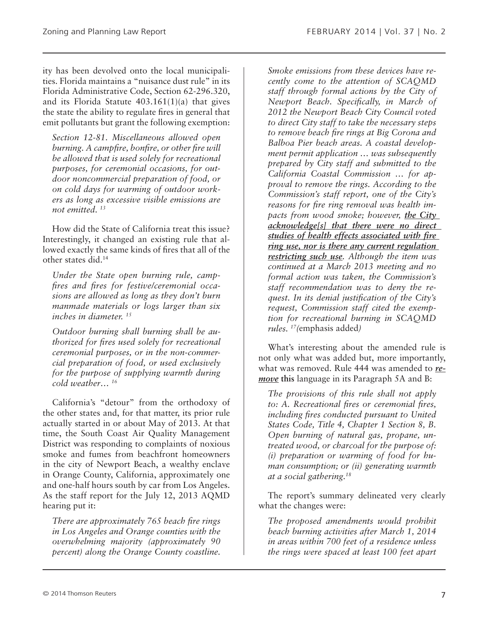ity has been devolved onto the local municipalities. Florida maintains a "nuisance dust rule" in its Florida Administrative Code, Section 62-296.320, and its Florida Statute 403.161(1)(a) that gives the state the ability to regulate fires in general that emit pollutants but grant the following exemption:

*Section 12-81. Miscellaneous allowed open burning. A campfire, bonfire, or other fire will be allowed that is used solely for recreational purposes, for ceremonial occasions, for outdoor noncommercial preparation of food, or on cold days for warming of outdoor workers as long as excessive visible emissions are not emitted. 13*

How did the State of California treat this issue? Interestingly, it changed an existing rule that allowed exactly the same kinds of fires that all of the other states did.14

*Under the State open burning rule, campfires and fires for festive/ceremonial occasions are allowed as long as they don't burn manmade materials or logs larger than six inches in diameter. 15*

*Outdoor burning shall burning shall be authorized for fires used solely for recreational ceremonial purposes, or in the non-commercial preparation of food, or used exclusively for the purpose of supplying warmth during cold weather… 16*

California's "detour" from the orthodoxy of the other states and, for that matter, its prior rule actually started in or about May of 2013. At that time, the South Coast Air Quality Management District was responding to complaints of noxious smoke and fumes from beachfront homeowners in the city of Newport Beach, a wealthy enclave in Orange County, California, approximately one and one-half hours south by car from Los Angeles. As the staff report for the July 12, 2013 AQMD hearing put it:

*There are approximately 765 beach fire rings in Los Angeles and Orange counties with the overwhelming majority (approximately 90 percent) along the Orange County coastline.*  *Smoke emissions from these devices have recently come to the attention of SCAQMD staff through formal actions by the City of Newport Beach. Specifically, in March of 2012 the Newport Beach City Council voted to direct City staff to take the necessary steps to remove beach fire rings at Big Corona and Balboa Pier beach areas. A coastal development permit application … was subsequently prepared by City staff and submitted to the California Coastal Commission … for approval to remove the rings. According to the Commission's staff report, one of the City's reasons for fire ring removal was health impacts from wood smoke; however, the City acknowledge[s] that there were no direct studies of health effects associated with fire ring use, nor is there any current regulation restricting such use. Although the item was continued at a March 2013 meeting and no formal action was taken, the Commission's staff recommendation was to deny the request. In its denial justification of the City's request, Commission staff cited the exemption for recreational burning in SCAQMD rules. 17(*emphasis added*)*

What's interesting about the amended rule is not only what was added but, more importantly, what was removed. Rule 444 was amended to *remove* **this** language in its Paragraph 5A and B:

*The provisions of this rule shall not apply to: A. Recreational fires or ceremonial fires, including fires conducted pursuant to United States Code, Title 4, Chapter 1 Section 8, B. Open burning of natural gas, propane, untreated wood, or charcoal for the purpose of: (i) preparation or warming of food for human consumption; or (ii) generating warmth at a social gathering.18*

The report's summary delineated very clearly what the changes were:

*The proposed amendments would prohibit beach burning activities after March 1, 2014 in areas within 700 feet of a residence unless the rings were spaced at least 100 feet apart*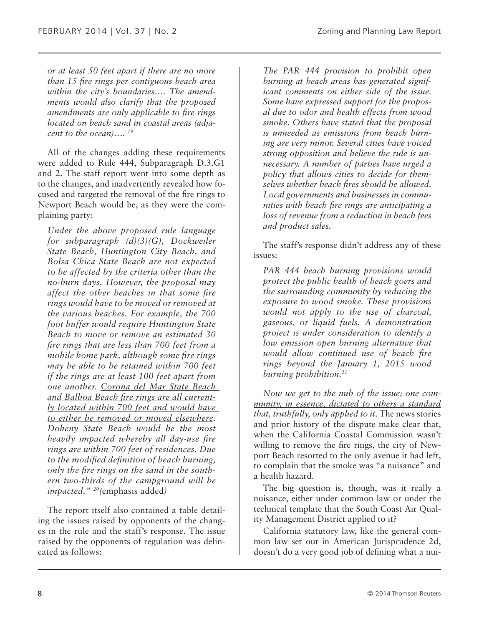*or at least 50 feet apart if there are no more than 15 fire rings per contiguous beach area within the city's boundaries…. The amendments would also clarify that the proposed amendments are only applicable to fire rings located on beach sand in coastal areas (adjacent to the ocean)…. 19*

All of the changes adding these requirements were added to Rule 444, Subparagraph D.3.G1 and 2. The staff report went into some depth as to the changes, and inadvertently revealed how focused and targeted the removal of the fire rings to Newport Beach would be, as they were the complaining party:

*Under the above proposed rule language for subparagraph (d)(3)(G), Dockweiler State Beach, Huntington City Beach, and Bolsa Chica State Beach are not expected to be affected by the criteria other than the no-burn days. However, the proposal may affect the other beaches in that some fire rings would have to be moved or removed at the various beaches. For example, the 700 foot buffer would require Huntington State Beach to move or remove an estimated 30 fire rings that are less than 700 feet from a mobile home park, although some fire rings may be able to be retained within 700 feet if the rings are at least 100 feet apart from one another. Corona del Mar State Beach and Balboa Beach fire rings are all currently located within 700 feet and would have to either be removed or moved elsewhere. Doheny State Beach would be the most heavily impacted whereby all day-use fire rings are within 700 feet of residences. Due to the modified definition of beach burning, only the fire rings on the sand in the southern two-thirds of the campground will be impacted." 20(*emphasis added*)*

The report itself also contained a table detailing the issues raised by opponents of the changes in the rule and the staff's response. The issue raised by the opponents of regulation was delineated as follows:

*The PAR 444 provision to prohibit open burning at beach areas has generated significant comments on either side of the issue. Some have expressed support for the proposal due to odor and health effects from wood smoke. Others have stated that the proposal is unneeded as emissions from beach burning are very minor. Several cities have voiced strong opposition and believe the rule is unnecessary. A number of parties have urged a policy that allows cities to decide for themselves whether beach fires should be allowed. Local governments and businesses in communities with beach fire rings are anticipating a loss of revenue from a reduction in beach fees and product sales.*

The staff's response didn't address any of these issues:

*PAR 444 beach burning provisions would protect the public health of beach goers and the surrounding community by reducing the exposure to wood smoke. These provisions would not apply to the use of charcoal, gaseous, or liquid fuels. A demonstration project is under consideration to identify a low emission open burning alternative that would allow continued use of beach fire rings beyond the January 1, 2015 wood burning prohibition.21*

*Now we get to the nub of the issue; one community, in essence, dictated to others a standard that, truthfully, only applied to it*. The news stories and prior history of the dispute make clear that, when the California Coastal Commission wasn't willing to remove the fire rings, the city of Newport Beach resorted to the only avenue it had left, to complain that the smoke was "a nuisance" and a health hazard.

The big question is, though, was it really a nuisance, either under common law or under the technical template that the South Coast Air Quality Management District applied to it?

California statutory law, like the general common law set out in American Jurisprudence 2d, doesn't do a very good job of defining what a nui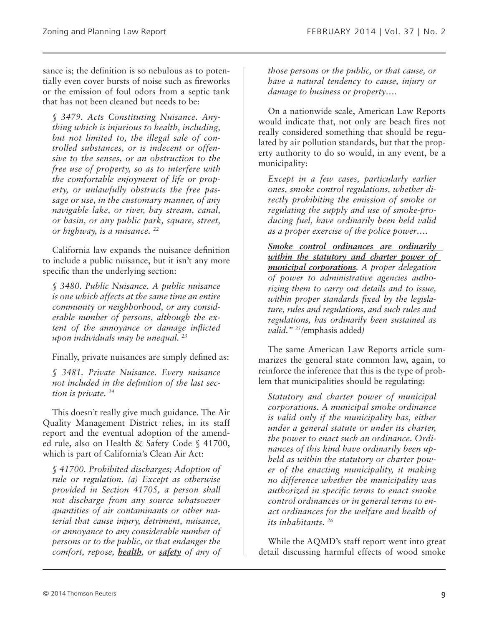sance is; the definition is so nebulous as to potentially even cover bursts of noise such as fireworks or the emission of foul odors from a septic tank that has not been cleaned but needs to be:

*§ 3479. Acts Constituting Nuisance. Anything which is injurious to health, including, but not limited to, the illegal sale of controlled substances, or is indecent or offensive to the senses, or an obstruction to the free use of property, so as to interfere with the comfortable enjoyment of life or property, or unlawfully obstructs the free passage or use, in the customary manner, of any navigable lake, or river, bay stream, canal, or basin, or any public park, square, street, or highway, is a nuisance. 22*

California law expands the nuisance definition to include a public nuisance, but it isn't any more specific than the underlying section:

*§ 3480. Public Nuisance. A public nuisance is one which affects at the same time an entire community or neighborhood, or any considerable number of persons, although the extent of the annoyance or damage inflicted upon individuals may be unequal. 23*

Finally, private nuisances are simply defined as:

*§ 3481. Private Nuisance. Every nuisance not included in the definition of the last section is private. 24*

This doesn't really give much guidance. The Air Quality Management District relies, in its staff report and the eventual adoption of the amended rule, also on Health & Safety Code § 41700, which is part of California's Clean Air Act:

*§ 41700. Prohibited discharges; Adoption of rule or regulation. (a) Except as otherwise provided in Section 41705, a person shall not discharge from any source whatsoever quantities of air contaminants or other material that cause injury, detriment, nuisance, or annoyance to any considerable number of persons or to the public, or that endanger the comfort, repose, health, or safety of any of*  *those persons or the public, or that cause, or have a natural tendency to cause, injury or damage to business or property….*

On a nationwide scale, American Law Reports would indicate that, not only are beach fires not really considered something that should be regulated by air pollution standards, but that the property authority to do so would, in any event, be a municipality:

*Except in a few cases, particularly earlier ones, smoke control regulations, whether directly prohibiting the emission of smoke or regulating the supply and use of smoke-producing fuel, have ordinarily been held valid as a proper exercise of the police power….*

*Smoke control ordinances are ordinarily within the statutory and charter power of municipal corporations. A proper delegation of power to administrative agencies authorizing them to carry out details and to issue, within proper standards fixed by the legislature, rules and regulations, and such rules and regulations, has ordinarily been sustained as valid." 25(*emphasis added*)*

The same American Law Reports article summarizes the general state common law, again, to reinforce the inference that this is the type of problem that municipalities should be regulating:

*Statutory and charter power of municipal corporations. A municipal smoke ordinance is valid only if the municipality has, either under a general statute or under its charter, the power to enact such an ordinance. Ordinances of this kind have ordinarily been upheld as within the statutory or charter power of the enacting municipality, it making no difference whether the municipality was authorized in specific terms to enact smoke control ordinances or in general terms to enact ordinances for the welfare and health of its inhabitants. 26*

While the AQMD's staff report went into great detail discussing harmful effects of wood smoke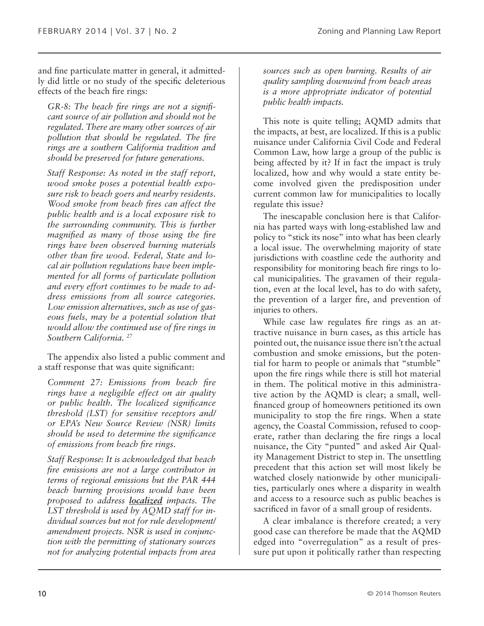and fine particulate matter in general, it admittedly did little or no study of the specific deleterious effects of the beach fire rings:

*GR-8: The beach fire rings are not a significant source of air pollution and should not be regulated. There are many other sources of air pollution that should be regulated. The fire rings are a southern California tradition and should be preserved for future generations.*

*Staff Response: As noted in the staff report, wood smoke poses a potential health exposure risk to beach goers and nearby residents. Wood smoke from beach fires can affect the public health and is a local exposure risk to the surrounding community. This is further magnified as many of those using the fire rings have been observed burning materials other than fire wood. Federal, State and local air pollution regulations have been implemented for all forms of particulate pollution and every effort continues to be made to address emissions from all source categories. Low emission alternatives, such as use of gaseous fuels, may be a potential solution that would allow the continued use of fire rings in Southern California. 27*

The appendix also listed a public comment and a staff response that was quite significant:

*Comment 27: Emissions from beach fire rings have a negligible effect on air quality or public health. The localized significance threshold (LST) for sensitive receptors and/ or EPA's New Source Review (NSR) limits should be used to determine the significance of emissions from beach fire rings.*

*Staff Response: It is acknowledged that beach fire emissions are not a large contributor in terms of regional emissions but the PAR 444 beach burning provisions would have been proposed to address localized impacts. The LST threshold is used by AQMD staff for individual sources but not for rule development/ amendment projects. NSR is used in conjunction with the permitting of stationary sources not for analyzing potential impacts from area* 

*sources such as open burning. Results of air quality sampling downwind from beach areas is a more appropriate indicator of potential public health impacts.*

This note is quite telling; AQMD admits that the impacts, at best, are localized. If this is a public nuisance under California Civil Code and Federal Common Law, how large a group of the public is being affected by it? If in fact the impact is truly localized, how and why would a state entity become involved given the predisposition under current common law for municipalities to locally regulate this issue?

The inescapable conclusion here is that California has parted ways with long-established law and policy to "stick its nose" into what has been clearly a local issue. The overwhelming majority of state jurisdictions with coastline cede the authority and responsibility for monitoring beach fire rings to local municipalities. The gravamen of their regulation, even at the local level, has to do with safety, the prevention of a larger fire, and prevention of injuries to others.

While case law regulates fire rings as an attractive nuisance in burn cases, as this article has pointed out, the nuisance issue there isn't the actual combustion and smoke emissions, but the potential for harm to people or animals that "stumble" upon the fire rings while there is still hot material in them. The political motive in this administrative action by the AQMD is clear; a small, wellfinanced group of homeowners petitioned its own municipality to stop the fire rings. When a state agency, the Coastal Commission, refused to cooperate, rather than declaring the fire rings a local nuisance, the City "punted" and asked Air Quality Management District to step in. The unsettling precedent that this action set will most likely be watched closely nationwide by other municipalities, particularly ones where a disparity in wealth and access to a resource such as public beaches is sacrificed in favor of a small group of residents.

A clear imbalance is therefore created; a very good case can therefore be made that the AQMD edged into "overregulation" as a result of pressure put upon it politically rather than respecting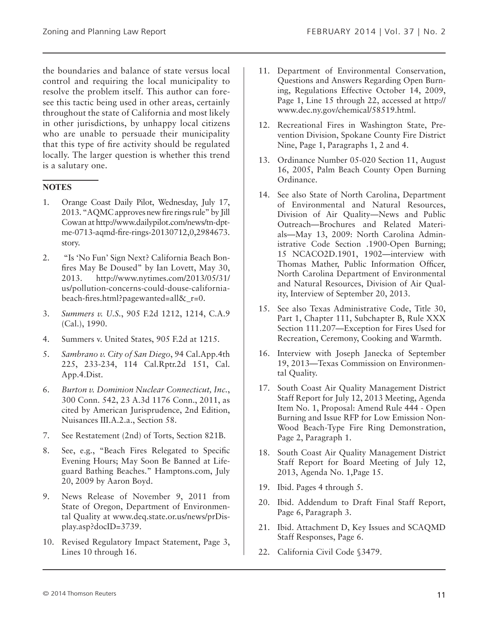the boundaries and balance of state versus local control and requiring the local municipality to resolve the problem itself. This author can foresee this tactic being used in other areas, certainly throughout the state of California and most likely in other jurisdictions, by unhappy local citizens who are unable to persuade their municipality that this type of fire activity should be regulated locally. The larger question is whether this trend is a salutary one.

#### **NOTES**

- 1. Orange Coast Daily Pilot, Wednesday, July 17, 2013. "AQMC approves new fire rings rule" by Jill Cowan at http://www.dailypilot.com/news/tn-dptme-0713-aqmd-fire-rings-20130712,0,2984673. story.
- 2. "Is 'No Fun' Sign Next? California Beach Bonfires May Be Doused" by Ian Lovett, May 30, 2013. http://www.nytimes.com/2013/05/31/ us/pollution-concerns-could-douse-californiabeach-fires.html?pagewanted=all $\&$  r=0.
- 3. *Summers v. U.S.*, 905 F.2d 1212, 1214, C.A.9 (Cal.), 1990.
- 4. Summers v. United States, 905 F.2d at 1215.
- 5. *Sambrano v. City of San Diego*, 94 Cal.App.4th 225, 233-234, 114 Cal.Rptr.2d 151, Cal. App.4.Dist.
- 6. *Burton v. Dominion Nuclear Connecticut, Inc.*, 300 Conn. 542, 23 A.3d 1176 Conn., 2011, as cited by American Jurisprudence, 2nd Edition, Nuisances III.A.2.a., Section 58.
- 7. See Restatement (2nd) of Torts, Section 821B.
- 8. See, e.g., "Beach Fires Relegated to Specific Evening Hours; May Soon Be Banned at Lifeguard Bathing Beaches." Hamptons.com, July 20, 2009 by Aaron Boyd.
- 9. News Release of November 9, 2011 from State of Oregon, Department of Environmental Quality at www.deq.state.or.us/news/prDisplay.asp?docID=3739.
- 10. Revised Regulatory Impact Statement, Page 3, Lines 10 through 16.
- 11. Department of Environmental Conservation, Questions and Answers Regarding Open Burning, Regulations Effective October 14, 2009, Page 1, Line 15 through 22, accessed at http:// www.dec.ny.gov/chemical/58519.html.
- 12. Recreational Fires in Washington State, Prevention Division, Spokane County Fire District Nine, Page 1, Paragraphs 1, 2 and 4.
- 13. Ordinance Number 05-020 Section 11, August 16, 2005, Palm Beach County Open Burning Ordinance.
- 14. See also State of North Carolina, Department of Environmental and Natural Resources, Division of Air Quality—News and Public Outreach—Brochures and Related Materials—May 13, 2009: North Carolina Administrative Code Section .1900-Open Burning; 15 NCACO2D.1901, 1902—interview with Thomas Mather, Public Information Officer, North Carolina Department of Environmental and Natural Resources, Division of Air Quality, Interview of September 20, 2013.
- 15. See also Texas Administrative Code, Title 30, Part 1, Chapter 111, Subchapter B, Rule XXX Section 111.207—Exception for Fires Used for Recreation, Ceremony, Cooking and Warmth.
- 16. Interview with Joseph Janecka of September 19, 2013—Texas Commission on Environmental Quality.
- 17. South Coast Air Quality Management District Staff Report for July 12, 2013 Meeting, Agenda Item No. 1, Proposal: Amend Rule 444 - Open Burning and Issue RFP for Low Emission Non-Wood Beach-Type Fire Ring Demonstration, Page 2, Paragraph 1.
- 18. South Coast Air Quality Management District Staff Report for Board Meeting of July 12, 2013, Agenda No. 1,Page 15.
- 19. Ibid. Pages 4 through 5.
- 20. Ibid. Addendum to Draft Final Staff Report, Page 6, Paragraph 3.
- 21. Ibid. Attachment D, Key Issues and SCAQMD Staff Responses, Page 6.
- 22. California Civil Code §3479.